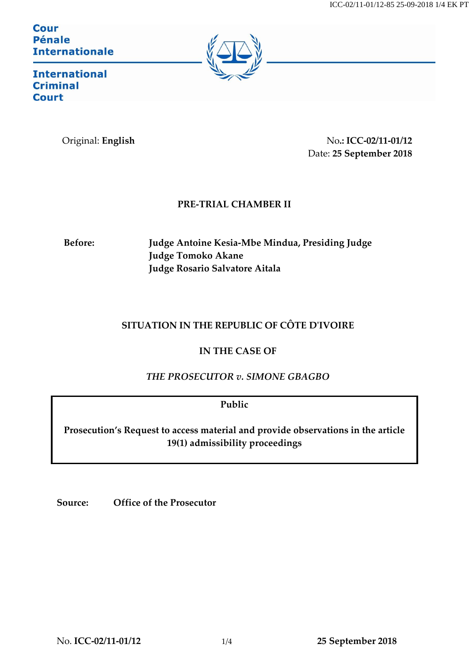**Cour Pénale Internationale** 



**International Criminal Court** 

Original: **English** No**.: ICC-02/11-01/12** Date: **25 September 2018**

## **PRE-TRIAL CHAMBER II**

**Before: Judge Antoine Kesia-Mbe Mindua, Presiding Judge Judge Tomoko Akane Judge Rosario Salvatore Aitala**

## **SITUATION IN THE REPUBLIC OF CÔTE D'IVOIRE**

**IN THE CASE OF** 

*THE PROSECUTOR v. SIMONE GBAGBO* 

**Public**

**Prosecution's Request to access material and provide observations in the article 19(1) admissibility proceedings** 

**Source: Office of the Prosecutor**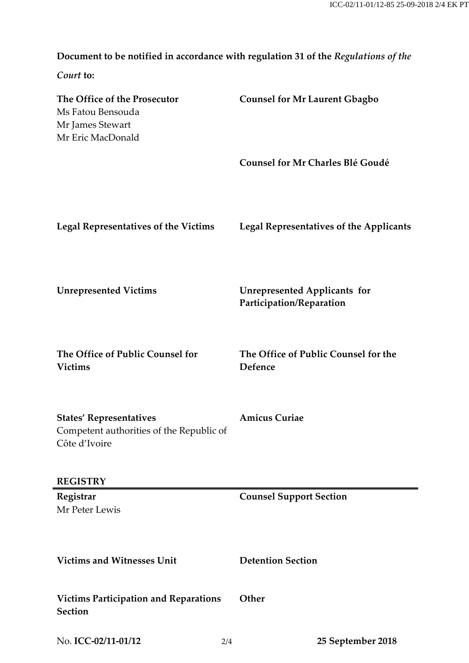**Document to be notified in accordance with regulation 31 of the** *Regulations of the* 

*Court* **to:**

| The Office of the Prosecutor<br>Ms Fatou Bensouda<br>Mr James Stewart<br>Mr Eric MacDonald  | <b>Counsel for Mr Laurent Gbagbo</b>                            |
|---------------------------------------------------------------------------------------------|-----------------------------------------------------------------|
|                                                                                             | <b>Counsel for Mr Charles Blé Goudé</b>                         |
| <b>Legal Representatives of the Victims</b>                                                 | <b>Legal Representatives of the Applicants</b>                  |
| <b>Unrepresented Victims</b>                                                                | <b>Unrepresented Applicants for</b><br>Participation/Reparation |
| The Office of Public Counsel for<br><b>Victims</b>                                          | The Office of Public Counsel for the<br>Defence                 |
| <b>States' Representatives</b><br>Competent authorities of the Republic of<br>Côte d'Ivoire | <b>Amicus Curiae</b>                                            |
| <b>REGISTRY</b>                                                                             |                                                                 |
| Registrar<br>Mr Peter Lewis                                                                 | <b>Counsel Support Section</b>                                  |
| <b>Victims and Witnesses Unit</b>                                                           | <b>Detention Section</b>                                        |
| <b>Victims Participation and Reparations</b><br><b>Section</b>                              | Other                                                           |
| No. ICC-02/11-01/12<br>2/4                                                                  | 25 September 2018                                               |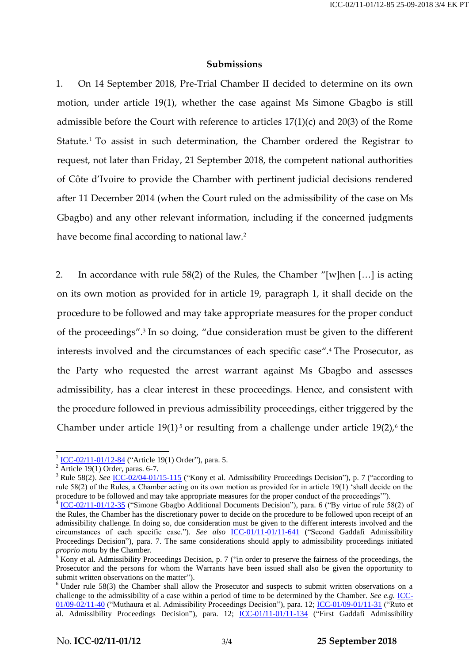## **Submissions**

1. On 14 September 2018, Pre-Trial Chamber II decided to determine on its own motion, under article 19(1), whether the case against Ms Simone Gbagbo is still admissible before the Court with reference to articles 17(1)(c) and 20(3) of the Rome Statute. <sup>1</sup> To assist in such determination, the Chamber ordered the Registrar to request, not later than Friday, 21 September 2018, the competent national authorities of Côte d'Ivoire to provide the Chamber with pertinent judicial decisions rendered after 11 December 2014 (when the Court ruled on the admissibility of the case on Ms Gbagbo) and any other relevant information, including if the concerned judgments have become final according to national law.<sup>2</sup>

2. In accordance with rule 58(2) of the Rules, the Chamber "[w]hen […] is acting on its own motion as provided for in article 19, paragraph 1, it shall decide on the procedure to be followed and may take appropriate measures for the proper conduct of the proceedings". 3 In so doing, "due consideration must be given to the different interests involved and the circumstances of each specific case". <sup>4</sup> The Prosecutor, as the Party who requested the arrest warrant against Ms Gbagbo and assesses admissibility, has a clear interest in these proceedings. Hence, and consistent with the procedure followed in previous admissibility proceedings, either triggered by the Chamber under article  $19(1)^5$  or resulting from a challenge under article  $19(2)$ , the

<sup>1&</sup>lt;br>
<u>[ICC-02/11-01/12-84](http://www.legal-tools.org/doc/bc44da/)</u> ("Article 19(1) Order"), para. 5.

 $2 \overline{\text{Article } 19(1) \text{ Order}}$ , paras. 6-7.

<sup>&</sup>lt;sup>3</sup> Rule 58(2). *See* <u>[ICC-02/04-01/15-115](http://www.legal-tools.org/doc/ab7e57/)</u> ("Kony et al. Admissibility Proceedings Decision"), p. 7 ("according to rule 58(2) of the Rules, a Chamber acting on its own motion as provided for in article 19(1) 'shall decide on the procedure to be followed and may take appropriate measures for the proper conduct of the proceedings'").

<sup>4</sup> [ICC-02/11-01/12-35](http://www.legal-tools.org/doc/8673f5/) ("Simone Gbagbo Additional Documents Decision"), para. 6 ("By virtue of rule 58(2) of the Rules, the Chamber has the discretionary power to decide on the procedure to be followed upon receipt of an admissibility challenge. In doing so, due consideration must be given to the different interests involved and the circumstances of each specific case."). *See also* [ICC-01/11-01/11-641](http://www.legal-tools.org/doc/96ad62/) ("Second Gaddafi Admissibility Proceedings Decision"), para. 7. The same considerations should apply to admissibility proceedings initiated *proprio motu* by the Chamber.

<sup>&</sup>lt;sup>5</sup> Kony et al. Admissibility Proceedings Decision, p. 7 ("in order to preserve the fairness of the proceedings, the Prosecutor and the persons for whom the Warrants have been issued shall also be given the opportunity to submit written observations on the matter").

<sup>&</sup>lt;sup>6</sup> Under rule 58(3) the Chamber shall allow the Prosecutor and suspects to submit written observations on a challenge to the admissibility of a case within a period of time to be determined by the Chamber. *See e.g.* **ICC**-[01/09-02/11-40](http://www.legal-tools.org/doc/abdc3d/) ("Muthaura et al. Admissibility Proceedings Decision"), para. 12; [ICC-01/09-01/11-31](http://www.legal-tools.org/doc/c6286c/) ("Ruto et al. Admissibility Proceedings Decision"), para. 12; [ICC-01/11-01/11-134](http://www.legal-tools.org/doc/bfc19d/) ("First Gaddafi Admissibility